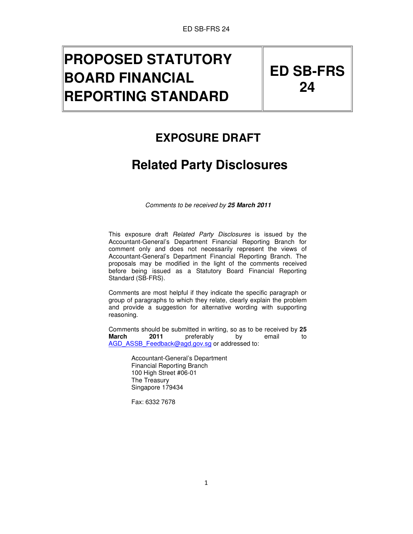# **PROPOSED STATUTORY BOARD FINANCIAL REPORTING STANDARD**

# **ED SB-FRS 24**

# **EXPOSURE DRAFT**

# **Related Party Disclosures**

Comments to be received by **25 March 2011**

This exposure draft Related Party Disclosures is issued by the Accountant-General's Department Financial Reporting Branch for comment only and does not necessarily represent the views of Accountant-General's Department Financial Reporting Branch. The proposals may be modified in the light of the comments received before being issued as a Statutory Board Financial Reporting Standard (SB-FRS).

Comments are most helpful if they indicate the specific paragraph or group of paragraphs to which they relate, clearly explain the problem and provide a suggestion for alternative wording with supporting reasoning.

Comments should be submitted in writing, so as to be received by **25 March 2011** preferably by email to AGD\_ASSB\_Feedback@agd.gov.sg or addressed to:

> Accountant-General's Department Financial Reporting Branch 100 High Street #06-01 The Treasury Singapore 179434

Fax: 6332 7678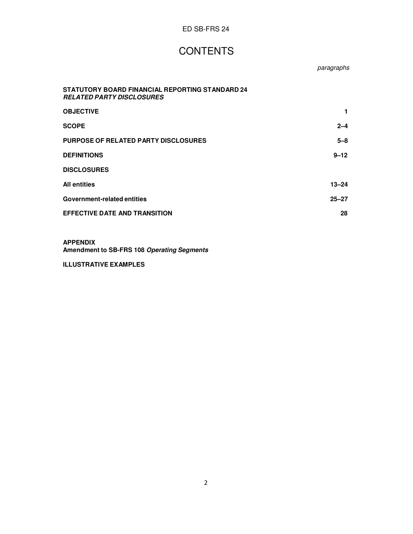# **CONTENTS**

| STATUTORY BOARD FINANCIAL REPORTING STANDARD 24<br><b>RELATED PARTY DISCLOSURES</b><br><b>OBJECTIVE</b><br>1<br>$2 - 4$<br><b>SCOPE</b><br><b>PURPOSE OF RELATED PARTY DISCLOSURES</b><br>$5 - 8$<br><b>DEFINITIONS</b><br>$9 - 12$<br><b>DISCLOSURES</b><br>$13 - 24$<br><b>All entities</b><br>$25 - 27$<br>Government-related entities<br><b>EFFECTIVE DATE AND TRANSITION</b><br>28 | paragraphs |
|-----------------------------------------------------------------------------------------------------------------------------------------------------------------------------------------------------------------------------------------------------------------------------------------------------------------------------------------------------------------------------------------|------------|
|                                                                                                                                                                                                                                                                                                                                                                                         |            |
|                                                                                                                                                                                                                                                                                                                                                                                         |            |
|                                                                                                                                                                                                                                                                                                                                                                                         |            |
|                                                                                                                                                                                                                                                                                                                                                                                         |            |
|                                                                                                                                                                                                                                                                                                                                                                                         |            |
|                                                                                                                                                                                                                                                                                                                                                                                         |            |
|                                                                                                                                                                                                                                                                                                                                                                                         |            |
|                                                                                                                                                                                                                                                                                                                                                                                         |            |
|                                                                                                                                                                                                                                                                                                                                                                                         |            |

**APPENDIX Amendment to SB-FRS 108 Operating Segments**

**ILLUSTRATIVE EXAMPLES**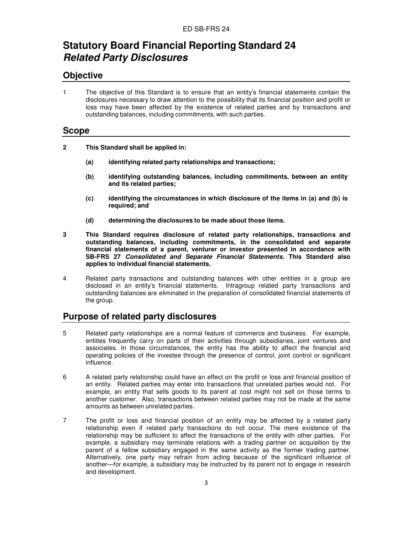# **Statutory Board Financial Reporting Standard 24 Related Party Disclosures**

## **Objective**

1 The objective of this Standard is to ensure that an entity's financial statements contain the disclosures necessary to draw attention to the possibility that its financial position and profit or loss may have been affected by the existence of related parties and by transactions and outstanding balances, including commitments, with such parties.

### **Scope**

- **2 This Standard shall be applied in:**
	- **(a) identifying related party relationships and transactions;**
	- **(b) identifying outstanding balances, including commitments, between an entity and its related parties;**
	- **(c) identifying the circumstances in which disclosure of the items in (a) and (b) is required; and**
	- **(d) determining the disclosures to be made about those items.**
- **3 This Standard requires disclosure of related party relationships, transactions and outstanding balances, including commitments, in the consolidated and separate financial statements of a parent, venturer or investor presented in accordance with SB-FRS 27 Consolidated and Separate Financial Statements. This Standard also applies to individual financial statements.**
- 4 Related party transactions and outstanding balances with other entities in a group are disclosed in an entity's financial statements. Intragroup related party transactions and outstanding balances are eliminated in the preparation of consolidated financial statements of the group.

## **Purpose of related party disclosures**

- 5 Related party relationships are a normal feature of commerce and business. For example, entities frequently carry on parts of their activities through subsidiaries, joint ventures and associates. In those circumstances, the entity has the ability to affect the financial and operating policies of the investee through the presence of control, joint control or significant influence.
- 6 A related party relationship could have an effect on the profit or loss and financial position of an entity. Related parties may enter into transactions that unrelated parties would not. For example, an entity that sells goods to its parent at cost might not sell on those terms to another customer. Also, transactions between related parties may not be made at the same amounts as between unrelated parties.
- 7 The profit or loss and financial position of an entity may be affected by a related party relationship even if related party transactions do not occur. The mere existence of the relationship may be sufficient to affect the transactions of the entity with other parties. For example, a subsidiary may terminate relations with a trading partner on acquisition by the parent of a fellow subsidiary engaged in the same activity as the former trading partner. Alternatively, one party may refrain from acting because of the significant influence of another—for example, a subsidiary may be instructed by its parent not to engage in research and development.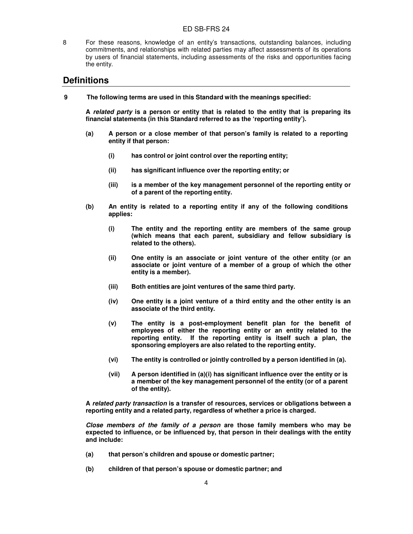#### ED SB-FRS 24

8 For these reasons, knowledge of an entity's transactions, outstanding balances, including commitments, and relationships with related parties may affect assessments of its operations by users of financial statements, including assessments of the risks and opportunities facing the entity.

### **Definitions**

**9 The following terms are used in this Standard with the meanings specified:**

**A related party is a person or entity that is related to the entity that is preparing its financial statements (in this Standard referred to as the 'reporting entity').**

- **(a) A person or a close member of that person's family is related to a reporting entity if that person:**
	- **(i) has control or joint control over the reporting entity;**
	- **(ii) has significant influence over the reporting entity; or**
	- **(iii) is a member of the key management personnel of the reporting entity or of a parent of the reporting entity.**
- **(b) An entity is related to a reporting entity if any of the following conditions applies:**
	- **(i) The entity and the reporting entity are members of the same group (which means that each parent, subsidiary and fellow subsidiary is related to the others).**
	- **(ii) One entity is an associate or joint venture of the other entity (or an associate or joint venture of a member of a group of which the other entity is a member).**
	- **(iii) Both entities are joint ventures of the same third party.**
	- **(iv) One entity is a joint venture of a third entity and the other entity is an associate of the third entity.**
	- **(v) The entity is a post-employment benefit plan for the benefit of employees of either the reporting entity or an entity related to the reporting entity. If the reporting entity is itself such a plan, the sponsoring employers are also related to the reporting entity.**
	- **(vi) The entity is controlled or jointly controlled by a person identified in (a).**
	- **(vii) A person identified in (a)(i) has significant influence over the entity or is a member of the key management personnel of the entity (or of a parent of the entity).**

**A related party transaction is a transfer of resources, services or obligations between a reporting entity and a related party, regardless of whether a price is charged.**

**Close members of the family of a person are those family members who may be expected to influence, or be influenced by, that person in their dealings with the entity and include:**

- **(a) that person's children and spouse or domestic partner;**
- **(b) children of that person's spouse or domestic partner; and**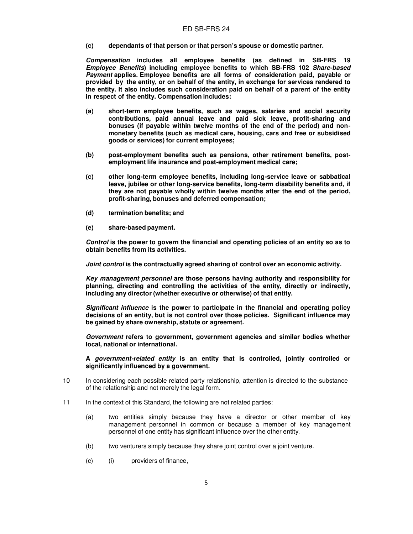**(c) dependants of that person or that person's spouse or domestic partner.**

**Compensation includes all employee benefits (as defined in SB-FRS 19 Employee Benefits) including employee benefits to which SB-FRS 102 Share-based Payment applies. Employee benefits are all forms of consideration paid, payable or provided by the entity, or on behalf of the entity, in exchange for services rendered to the entity. It also includes such consideration paid on behalf of a parent of the entity in respect of the entity. Compensation includes:**

- **(a) short-term employee benefits, such as wages, salaries and social security contributions, paid annual leave and paid sick leave, profit-sharing and bonuses (if payable within twelve months of the end of the period) and nonmonetary benefits (such as medical care, housing, cars and free or subsidised goods or services) for current employees;**
- **(b) post-employment benefits such as pensions, other retirement benefits, postemployment life insurance and post-employment medical care;**
- **(c) other long-term employee benefits, including long-service leave or sabbatical leave, jubilee or other long-service benefits, long-term disability benefits and, if they are not payable wholly within twelve months after the end of the period, profit-sharing, bonuses and deferred compensation;**
- **(d) termination benefits; and**
- **(e) share-based payment.**

**Control is the power to govern the financial and operating policies of an entity so as to obtain benefits from its activities.**

**Joint control is the contractually agreed sharing of control over an economic activity.**

**Key management personnel are those persons having authority and responsibility for planning, directing and controlling the activities of the entity, directly or indirectly, including any director (whether executive or otherwise) of that entity.**

**Significant influence is the power to participate in the financial and operating policy decisions of an entity, but is not control over those policies. Significant influence may be gained by share ownership, statute or agreement.**

**Government refers to government, government agencies and similar bodies whether local, national or international.**

**A government-related entity is an entity that is controlled, jointly controlled or significantly influenced by a government.**

- 10 In considering each possible related party relationship, attention is directed to the substance of the relationship and not merely the legal form.
- 11 In the context of this Standard, the following are not related parties:
	- (a) two entities simply because they have a director or other member of key management personnel in common or because a member of key management personnel of one entity has significant influence over the other entity.
	- (b) two venturers simply because they share joint control over a joint venture.
	- (c) (i) providers of finance,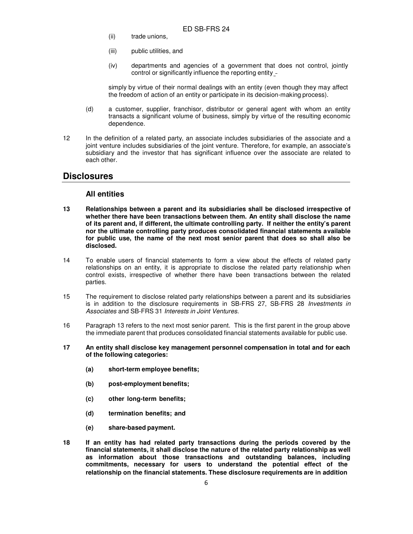- (ii) trade unions,
- (iii) public utilities, and
- (iv) departments and agencies of a government that does not control, jointly control or significantly influence the reporting entity

simply by virtue of their normal dealings with an entity (even though they may affect the freedom of action of an entity or participate in its decision-making process).

- (d) a customer, supplier, franchisor, distributor or general agent with whom an entity transacts a significant volume of business, simply by virtue of the resulting economic dependence.
- 12 In the definition of a related party, an associate includes subsidiaries of the associate and a joint venture includes subsidiaries of the joint venture. Therefore, for example, an associate's subsidiary and the investor that has significant influence over the associate are related to each other.

### **Disclosures**

### **All entities**

- **13 Relationships between a parent and its subsidiaries shall be disclosed irrespective of whether there have been transactions between them. An entity shall disclose the name of its parent and, if different, the ultimate controlling party. If neither the entity's parent nor the ultimate controlling party produces consolidated financial statements available for public use, the name of the next most senior parent that does so shall also be disclosed.**
- 14 To enable users of financial statements to form a view about the effects of related party relationships on an entity, it is appropriate to disclose the related party relationship when control exists, irrespective of whether there have been transactions between the related parties.
- 15 The requirement to disclose related party relationships between a parent and its subsidiaries is in addition to the disclosure requirements in SB-FRS 27, SB-FRS 28 Investments in Associates and SB-FRS 31 Interests in Joint Ventures.
- 16 Paragraph 13 refers to the next most senior parent. This is the first parent in the group above the immediate parent that produces consolidated financial statements available for public use.
- **17 An entity shall disclose key management personnel compensation in total and for each of the following categories:**
	- **(a) short-term employee benefits;**
	- **(b) post-employment benefits;**
	- **(c) other long-term benefits;**
	- **(d) termination benefits; and**
	- **(e) share-based payment.**
- **18 If an entity has had related party transactions during the periods covered by the financial statements, it shall disclose the nature of the related party relationship as well as information about those transactions and outstanding balances, including commitments, necessary for users to understand the potential effect of the relationship on the financial statements. These disclosure requirements are in addition**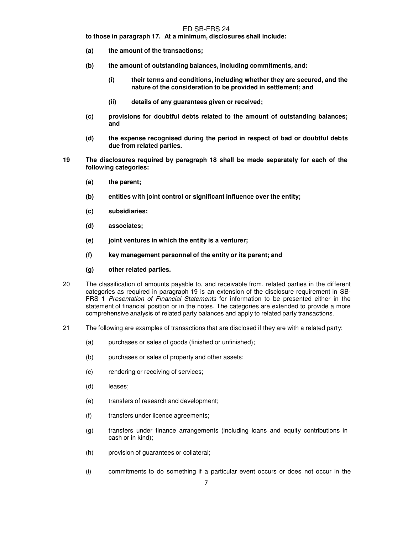#### ED SB-FRS 24

**to those in paragraph 17. At a minimum, disclosures shall include:**

- **(a) the amount of the transactions;**
- **(b) the amount of outstanding balances, including commitments, and:**
	- **(i) their terms and conditions, including whether they are secured, and the nature of the consideration to be provided in settlement; and**
	- **(ii) details of any guarantees given or received;**
- **(c) provisions for doubtful debts related to the amount of outstanding balances; and**
- **(d) the expense recognised during the period in respect of bad or doubtful debts due from related parties.**
- **19 The disclosures required by paragraph 18 shall be made separately for each of the following categories:**
	- **(a) the parent;**
	- **(b) entities with joint control or significant influence over the entity;**
	- **(c) subsidiaries;**
	- **(d) associates;**
	- **(e) joint ventures in which the entity is a venturer;**
	- **(f) key management personnel of the entity or its parent; and**
	- **(g) other related parties.**
- 20 The classification of amounts payable to, and receivable from, related parties in the different categories as required in paragraph 19 is an extension of the disclosure requirement in SB-FRS 1 Presentation of Financial Statements for information to be presented either in the statement of financial position or in the notes. The categories are extended to provide a more comprehensive analysis of related party balances and apply to related party transactions.
- 21 The following are examples of transactions that are disclosed if they are with a related party:
	- (a) purchases or sales of goods (finished or unfinished);
	- (b) purchases or sales of property and other assets;
	- (c) rendering or receiving of services;
	- (d) leases;
	- (e) transfers of research and development;
	- (f) transfers under licence agreements;
	- (g) transfers under finance arrangements (including loans and equity contributions in cash or in kind);
	- (h) provision of guarantees or collateral;
	- (i) commitments to do something if a particular event occurs or does not occur in the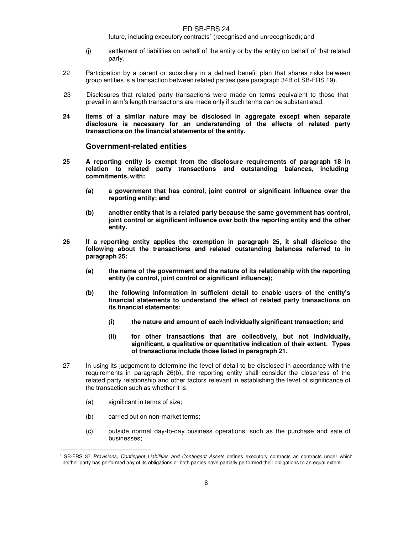#### ED SB-FRS 24

future, including executory contracts<sup>\*</sup> (recognised and unrecognised); and

- (j) settlement of liabilities on behalf of the entity or by the entity on behalf of that related party.
- 22 Participation by a parent or subsidiary in a defined benefit plan that shares risks between group entities is a transaction between related parties (see paragraph 34B of SB-FRS 19).
- 23 Disclosures that related party transactions were made on terms equivalent to those that prevail in arm's length transactions are made only if such terms can be substantiated.
- **24 Items of a similar nature may be disclosed in aggregate except when separate disclosure is necessary for an understanding of the effects of related party transactions on the financial statements of the entity.**

#### **Government-related entities**

- **25 A reporting entity is exempt from the disclosure requirements of paragraph 18 in relation to related party transactions and outstanding balances, including commitments, with:**
	- **(a) a government that has control, joint control or significant influence over the reporting entity; and**
	- **(b) another entity that is a related party because the same government has control, joint control or significant influence over both the reporting entity and the other entity.**
- **26 If a reporting entity applies the exemption in paragraph 25, it shall disclose the following about the transactions and related outstanding balances referred to in paragraph 25:**
	- **(a) the name of the government and the nature of its relationship with the reporting entity (ie control, joint control or significant influence);**
	- **(b) the following information in sufficient detail to enable users of the entity's financial statements to understand the effect of related party transactions on its financial statements:**
		- **(i) the nature and amount of each individually significant transaction; and**
		- **(ii) for other transactions that are collectively, but not individually, significant, a qualitative or quantitative indication of their extent. Types of transactions include those listed in paragraph 21.**
- 27 In using its judgement to determine the level of detail to be disclosed in accordance with the requirements in paragraph 26(b), the reporting entity shall consider the closeness of the related party relationship and other factors relevant in establishing the level of significance of the transaction such as whether it is:
	- (a) significant in terms of size;

 $\overline{a}$ 

- (b) carried out on non-market terms;
- (c) outside normal day-to-day business operations, such as the purchase and sale of businesses;

<sup>∗</sup> SB-FRS 37 Provisions, Contingent Liabilities and Contingent Assets defines executory contracts as contracts under which neither party has performed any of its obligations or both parties have partially performed their obligations to an equal extent.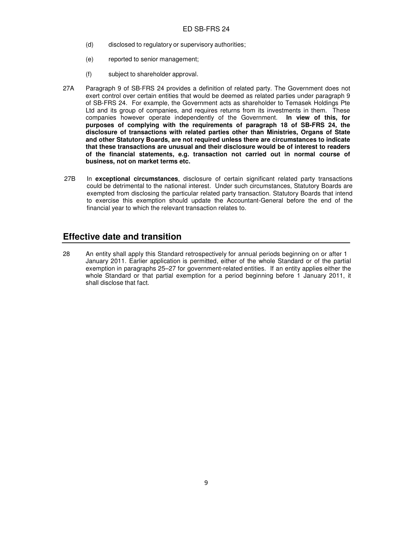- (d) disclosed to regulatory or supervisory authorities;
- (e) reported to senior management;
- (f) subject to shareholder approval.
- 27A Paragraph 9 of SB-FRS 24 provides a definition of related party. The Government does not exert control over certain entities that would be deemed as related parties under paragraph 9 of SB-FRS 24. For example, the Government acts as shareholder to Temasek Holdings Pte Ltd and its group of companies, and requires returns from its investments in them. These companies however operate independently of the Government. **In view of this, for purposes of complying with the requirements of paragraph 18 of SB-FRS 24, the disclosure of transactions with related parties other than Ministries, Organs of State and other Statutory Boards, are not required unless there are circumstances to indicate that these transactions are unusual and their disclosure would be of interest to readers of the financial statements, e.g. transaction not carried out in normal course of business, not on market terms etc.**
- 27B In **exceptional circumstances**, disclosure of certain significant related party transactions could be detrimental to the national interest. Under such circumstances, Statutory Boards are exempted from disclosing the particular related party transaction. Statutory Boards that intend to exercise this exemption should update the Accountant-General before the end of the financial year to which the relevant transaction relates to.

### **Effective date and transition**

28 An entity shall apply this Standard retrospectively for annual periods beginning on or after 1 January 2011. Earlier application is permitted, either of the whole Standard or of the partial exemption in paragraphs 25–27 for government-related entities. If an entity applies either the whole Standard or that partial exemption for a period beginning before 1 January 2011, it shall disclose that fact.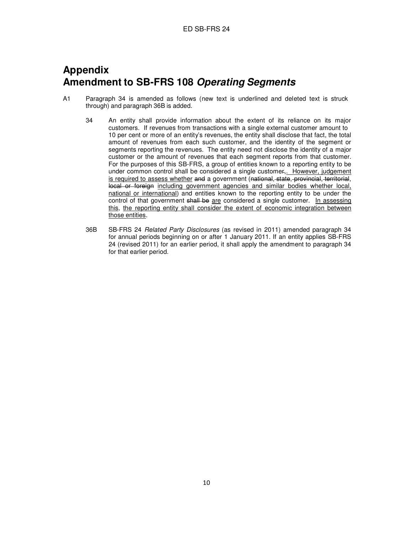# **Appendix Amendment to SB-FRS 108 Operating Segments**

- A1 Paragraph 34 is amended as follows (new text is underlined and deleted text is struck through) and paragraph 36B is added.
	- 34 An entity shall provide information about the extent of its reliance on its major customers. If revenues from transactions with a single external customer amount to 10 per cent or more of an entity's revenues, the entity shall disclose that fact, the total amount of revenues from each such customer, and the identity of the segment or segments reporting the revenues. The entity need not disclose the identity of a major customer or the amount of revenues that each segment reports from that customer. For the purposes of this SB-FRS, a group of entities known to a reporting entity to be under common control shall be considered a single customer, However, judgement is required to assess whether and a government (national, state, provincial, territorial, local or foreign including government agencies and similar bodies whether local, national or international) and entities known to the reporting entity to be under the control of that government shall be are considered a single customer. In assessing this, the reporting entity shall consider the extent of economic integration between those entities.
	- 36B SB-FRS 24 Related Party Disclosures (as revised in 2011) amended paragraph 34 for annual periods beginning on or after 1 January 2011. If an entity applies SB-FRS 24 (revised 2011) for an earlier period, it shall apply the amendment to paragraph 34 for that earlier period.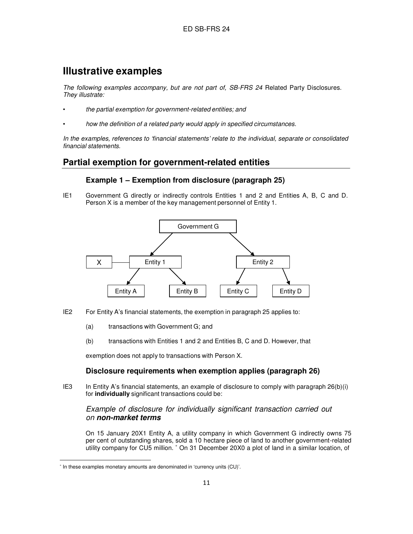# **Illustrative examples**

The following examples accompany, but are not part of, SB-FRS 24 Related Party Disclosures. They illustrate:

- the partial exemption for government-related entities; and
- how the definition of a related party would apply in specified circumstances.

In the examples, references to 'financial statements' relate to the individual, separate or consolidated financial statements.

## **Partial exemption for government-related entities**

### **Example 1 – Exemption from disclosure (paragraph 25)**

IE1 Government G directly or indirectly controls Entities 1 and 2 and Entities A, B, C and D. Person X is a member of the key management personnel of Entity 1.



- IE2 For Entity A's financial statements, the exemption in paragraph 25 applies to:
	- (a) transactions with Government G; and
	- (b) transactions with Entities 1 and 2 and Entities B, C and D. However, that

exemption does not apply to transactions with Person X.

### **Disclosure requirements when exemption applies (paragraph 26)**

IE3 In Entity A's financial statements, an example of disclosure to comply with paragraph 26(b)(i) for **individually** significant transactions could be:

### Example of disclosure for individually significant transaction carried out on **non-market terms**

On 15 January 20X1 Entity A, a utility company in which Government G indirectly owns 75 per cent of outstanding shares, sold a 10 hectare piece of land to another government-related utility company for CU5 million. <sup>\*</sup> On 31 December 20X0 a plot of land in a similar location, of

 $\overline{a}$ 

<sup>∗</sup> In these examples monetary amounts are denominated in 'currency units (CU)'.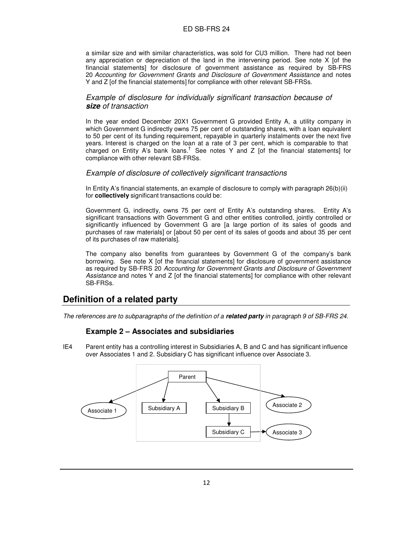a similar size and with similar characteristics, was sold for CU3 million. There had not been any appreciation or depreciation of the land in the intervening period. See note X [of the financial statements] for disclosure of government assistance as required by SB-FRS 20 Accounting for Government Grants and Disclosure of Government Assistance and notes Y and Z [of the financial statements] for compliance with other relevant SB-FRSs.

### Example of disclosure for individually significant transaction because of **size** of transaction

In the year ended December 20X1 Government G provided Entity A, a utility company in which Government G indirectly owns 75 per cent of outstanding shares, with a loan equivalent to 50 per cent of its funding requirement, repayable in quarterly instalments over the next five years. Interest is charged on the loan at a rate of 3 per cent, which is comparable to that charged on Entity A's bank loans.<sup>†</sup> See notes Y and Z [of the financial statements] for compliance with other relevant SB-FRSs.

### Example of disclosure of collectively significant transactions

In Entity A's financial statements, an example of disclosure to comply with paragraph 26(b)(ii) for **collectively** significant transactions could be:

Government G, indirectly, owns 75 per cent of Entity A's outstanding shares. Entity A's significant transactions with Government G and other entities controlled, jointly controlled or significantly influenced by Government G are [a large portion of its sales of goods and purchases of raw materials] or [about 50 per cent of its sales of goods and about 35 per cent of its purchases of raw materials].

The company also benefits from guarantees by Government G of the company's bank borrowing. See note X [of the financial statements] for disclosure of government assistance as required by SB-FRS 20 Accounting for Government Grants and Disclosure of Government Assistance and notes Y and Z [of the financial statements] for compliance with other relevant SB-FRSs.

## **Definition of a related party**

 $\overline{a}$ 

The references are to subparagraphs of the definition of a **related party** in paragraph 9 of SB-FRS 24.

### **Example 2 – Associates and subsidiaries**

IE4 Parent entity has a controlling interest in Subsidiaries A, B and C and has significant influence over Associates 1 and 2. Subsidiary C has significant influence over Associate 3.

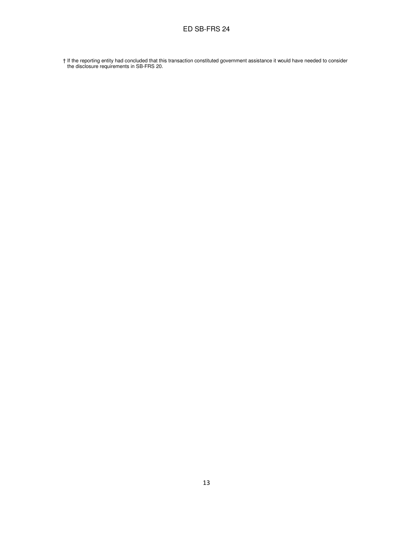† If the reporting entity had concluded that this transaction constituted government assistance it would have needed to consider the disclosure requirements in SB-FRS 20.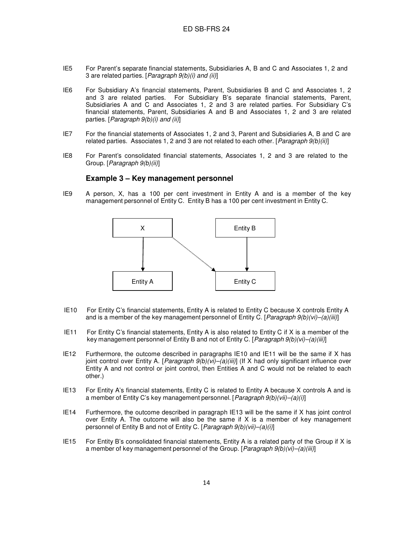- IE5 For Parent's separate financial statements, Subsidiaries A, B and C and Associates 1, 2 and 3 are related parties. [Paragraph 9(b)(i) and (ii)]
- IE6 For Subsidiary A's financial statements, Parent, Subsidiaries B and C and Associates 1, 2 and 3 are related parties. For Subsidiary B's separate financial statements, Parent, Subsidiaries A and C and Associates 1, 2 and 3 are related parties. For Subsidiary C's financial statements, Parent, Subsidiaries A and B and Associates 1, 2 and 3 are related parties. [Paragraph 9(b)(i) and (ii)]
- IE7 For the financial statements of Associates 1, 2 and 3, Parent and Subsidiaries A, B and C are related parties. Associates 1, 2 and 3 are not related to each other. [Paragraph 9(b)(ii)]
- IE8 For Parent's consolidated financial statements, Associates 1, 2 and 3 are related to the Group. [Paragraph 9(b)(ii)]

#### **Example 3 – Key management personnel**

IE9 A person, X, has a 100 per cent investment in Entity A and is a member of the key management personnel of Entity C. Entity B has a 100 per cent investment in Entity C.



- IE10 For Entity C's financial statements, Entity A is related to Entity C because X controls Entity A and is a member of the key management personnel of Entity C. [Paragraph  $9(b)(vi)$ –(a)(iii)]
- IE11 For Entity C's financial statements, Entity A is also related to Entity C if X is a member of the key management personnel of Entity B and not of Entity C. [*Paragraph 9(b)(vi)–(a)(iii)*]
- IE12 Furthermore, the outcome described in paragraphs IE10 and IE11 will be the same if X has joint control over Entity A. [*Paragraph 9(b)(vi)–(a)(iii)*] (If X had only significant influence over Entity A and not control or joint control, then Entities A and C would not be related to each other.)
- IE13 For Entity A's financial statements, Entity C is related to Entity A because X controls A and is a member of Entity C's key management personnel. [Paragraph 9(b)(vii)–(a)(i)]
- IE14 Furthermore, the outcome described in paragraph IE13 will be the same if X has joint control over Entity A. The outcome will also be the same if X is a member of key management personnel of Entity B and not of Entity C. [Paragraph 9(b)(vii)–(a)(i)]
- IE15 For Entity B's consolidated financial statements, Entity A is a related party of the Group if X is a member of key management personnel of the Group. [Paragraph 9(b)(vi)–(a)(iii)]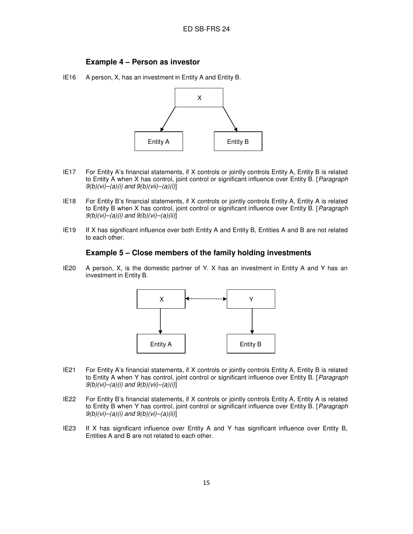### **Example 4 – Person as investor**

IE16 A person, X, has an investment in Entity A and Entity B.



- IE17 For Entity A's financial statements, if X controls or jointly controls Entity A, Entity B is related to Entity A when X has control, joint control or significant influence over Entity B. [Paragraph  $9(b)(vi)$ –(a)(i) and  $9(b)(vii)$ –(a)(i)]
- IE18 For Entity B's financial statements, if X controls or jointly controls Entity A, Entity A is related to Entity B when X has control, joint control or significant influence over Entity B. [Paragraph  $9(b)(vi)$ – $(a)(i)$  and  $9(b)(vi)$ – $(a)(ii)$ ]
- IE19 If X has significant influence over both Entity A and Entity B, Entities A and B are not related to each other.

#### **Example 5 – Close members of the family holding investments**

IE20 A person, X, is the domestic partner of Y. X has an investment in Entity A and Y has an investment in Entity B.



- IE21 For Entity A's financial statements, if X controls or jointly controls Entity A, Entity B is related to Entity A when Y has control, joint control or significant influence over Entity B. [Paragraph  $9(b)(vi)$ –(a)(i) and  $9(b)(vii)$ –(a)(i)]
- IE22 For Entity B's financial statements, if X controls or jointly controls Entity A, Entity A is related to Entity B when Y has control, joint control or significant influence over Entity B. [Paragraph  $9(b)(vi)$ –(a)(i) and  $9(b)(vi)$ –(a)(ii)]
- IE23 If X has significant influence over Entity A and Y has significant influence over Entity B, Entities A and B are not related to each other.